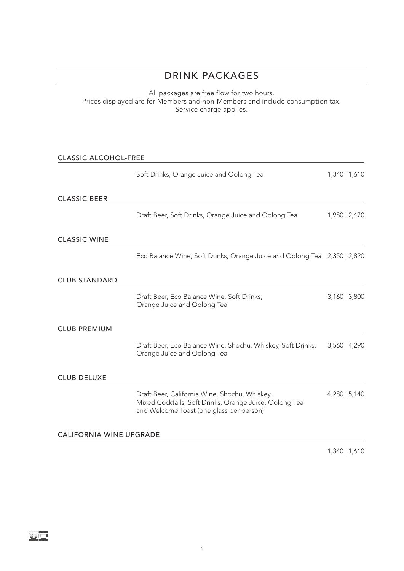## DRINK PACKAGES

All packages are free flow for two hours. Prices displayed are for Members and non-Members and include consumption tax. Service charge applies.

| <b>CLASSIC ALCOHOL-FREE</b>    |                                                                                                                                                     |                 |
|--------------------------------|-----------------------------------------------------------------------------------------------------------------------------------------------------|-----------------|
|                                | Soft Drinks, Orange Juice and Oolong Tea                                                                                                            | 1,340   1,610   |
| <b>CLASSIC BEER</b>            |                                                                                                                                                     |                 |
|                                | Draft Beer, Soft Drinks, Orange Juice and Oolong Tea                                                                                                | 1,980   2,470   |
| <b>CLASSIC WINE</b>            |                                                                                                                                                     |                 |
|                                | Eco Balance Wine, Soft Drinks, Orange Juice and Oolong Tea 2,350   2,820                                                                            |                 |
| <b>CLUB STANDARD</b>           |                                                                                                                                                     |                 |
|                                | Draft Beer, Eco Balance Wine, Soft Drinks,<br>Orange Juice and Oolong Tea                                                                           | $3,160$   3,800 |
| <b>CLUB PREMIUM</b>            |                                                                                                                                                     |                 |
|                                | Draft Beer, Eco Balance Wine, Shochu, Whiskey, Soft Drinks,<br>Orange Juice and Oolong Tea                                                          | $3,560$   4,290 |
| <b>CLUB DELUXE</b>             |                                                                                                                                                     |                 |
|                                | Draft Beer, California Wine, Shochu, Whiskey,<br>Mixed Cocktails, Soft Drinks, Orange Juice, Oolong Tea<br>and Welcome Toast (one glass per person) | 4,280   5,140   |
| <b>CALIFORNIA WINE UPGRADE</b> |                                                                                                                                                     |                 |

1,340 | 1,610